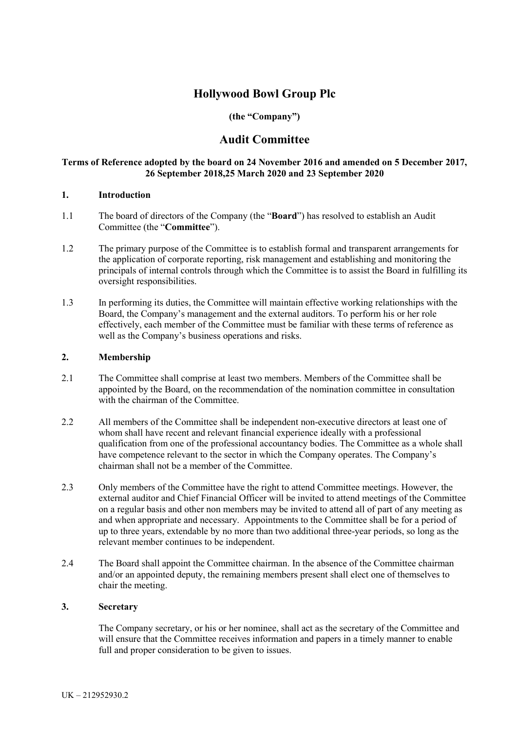# **Hollywood Bowl Group Plc**

## **(the "Company")**

## **Audit Committee**

#### **Terms of Reference adopted by the board on 24 November 2016 and amended on 5 December 2017, 26 September 2018,25 March 2020 and 23 September 2020**

## **1. Introduction**

- 1.1 The board of directors of the Company (the "**Board**") has resolved to establish an Audit Committee (the "**Committee**").
- 1.2 The primary purpose of the Committee is to establish formal and transparent arrangements for the application of corporate reporting, risk management and establishing and monitoring the principals of internal controls through which the Committee is to assist the Board in fulfilling its oversight responsibilities.
- 1.3 In performing its duties, the Committee will maintain effective working relationships with the Board, the Company's management and the external auditors. To perform his or her role effectively, each member of the Committee must be familiar with these terms of reference as well as the Company's business operations and risks.

#### **2. Membership**

- 2.1 The Committee shall comprise at least two members. Members of the Committee shall be appointed by the Board, on the recommendation of the nomination committee in consultation with the chairman of the Committee.
- 2.2 All members of the Committee shall be independent non-executive directors at least one of whom shall have recent and relevant financial experience ideally with a professional qualification from one of the professional accountancy bodies. The Committee as a whole shall have competence relevant to the sector in which the Company operates. The Company's chairman shall not be a member of the Committee.
- 2.3 Only members of the Committee have the right to attend Committee meetings. However, the external auditor and Chief Financial Officer will be invited to attend meetings of the Committee on a regular basis and other non members may be invited to attend all of part of any meeting as and when appropriate and necessary. Appointments to the Committee shall be for a period of up to three years, extendable by no more than two additional three-year periods, so long as the relevant member continues to be independent.
- 2.4 The Board shall appoint the Committee chairman. In the absence of the Committee chairman and/or an appointed deputy, the remaining members present shall elect one of themselves to chair the meeting.

#### **3. Secretary**

The Company secretary, or his or her nominee, shall act as the secretary of the Committee and will ensure that the Committee receives information and papers in a timely manner to enable full and proper consideration to be given to issues.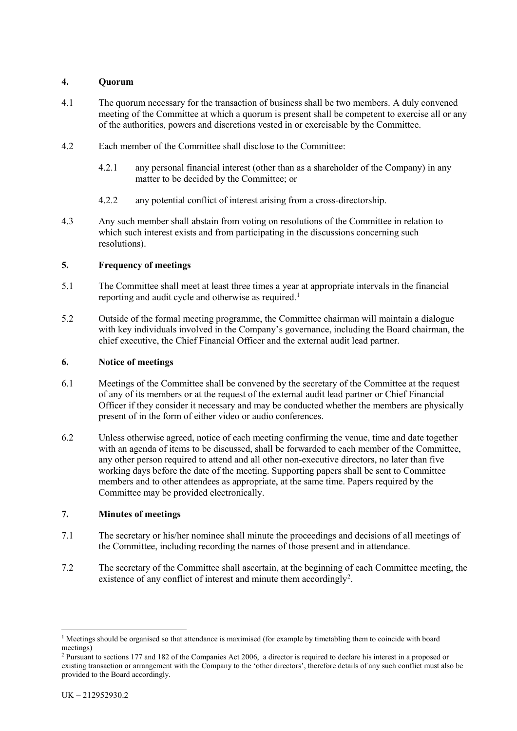## **4. Quorum**

- 4.1 The quorum necessary for the transaction of business shall be two members. A duly convened meeting of the Committee at which a quorum is present shall be competent to exercise all or any of the authorities, powers and discretions vested in or exercisable by the Committee.
- 4.2 Each member of the Committee shall disclose to the Committee:
	- 4.2.1 any personal financial interest (other than as a shareholder of the Company) in any matter to be decided by the Committee; or
	- 4.2.2 any potential conflict of interest arising from a cross-directorship.
- 4.3 Any such member shall abstain from voting on resolutions of the Committee in relation to which such interest exists and from participating in the discussions concerning such resolutions).

## **5. Frequency of meetings**

- 5.1 The Committee shall meet at least three times a year at appropriate intervals in the financial reporting and audit cycle and otherwise as required.<sup>[1](#page-1-0)</sup>
- 5.2 Outside of the formal meeting programme, the Committee chairman will maintain a dialogue with key individuals involved in the Company's governance, including the Board chairman, the chief executive, the Chief Financial Officer and the external audit lead partner.

#### **6. Notice of meetings**

- 6.1 Meetings of the Committee shall be convened by the secretary of the Committee at the request of any of its members or at the request of the external audit lead partner or Chief Financial Officer if they consider it necessary and may be conducted whether the members are physically present of in the form of either video or audio conferences.
- 6.2 Unless otherwise agreed, notice of each meeting confirming the venue, time and date together with an agenda of items to be discussed, shall be forwarded to each member of the Committee, any other person required to attend and all other non-executive directors, no later than five working days before the date of the meeting. Supporting papers shall be sent to Committee members and to other attendees as appropriate, at the same time. Papers required by the Committee may be provided electronically.

#### **7. Minutes of meetings**

- 7.1 The secretary or his/her nominee shall minute the proceedings and decisions of all meetings of the Committee, including recording the names of those present and in attendance.
- 7.2 The secretary of the Committee shall ascertain, at the beginning of each Committee meeting, the existence of any conflict of interest and minute them accordingly<sup>[2](#page-1-1)</sup>.

<span id="page-1-0"></span><sup>&</sup>lt;sup>1</sup> Meetings should be organised so that attendance is maximised (for example by timetabling them to coincide with board meetings)

<span id="page-1-1"></span><sup>2</sup> Pursuant to sections 177 and 182 of the Companies Act 2006, a director is required to declare his interest in a proposed or existing transaction or arrangement with the Company to the 'other directors', therefore details of any such conflict must also be provided to the Board accordingly.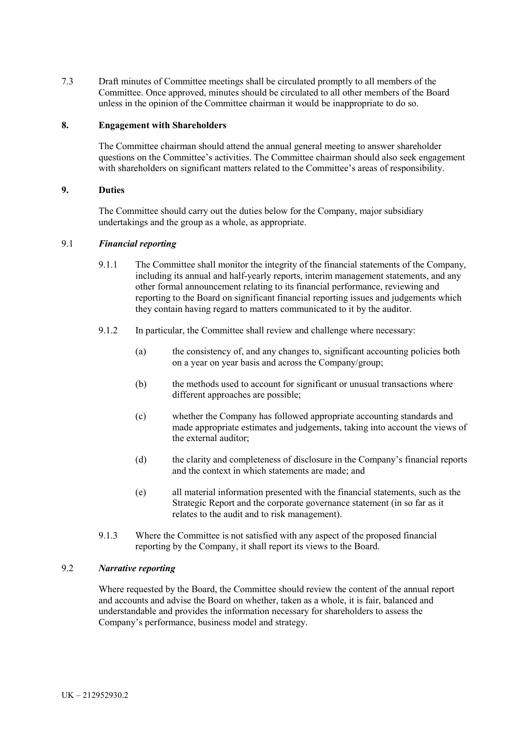7.3 Draft minutes of Committee meetings shall be circulated promptly to all members of the Committee. Once approved, minutes should be circulated to all other members of the Board unless in the opinion of the Committee chairman it would be inappropriate to do so.

#### **8. Engagement with Shareholders**

The Committee chairman should attend the annual general meeting to answer shareholder questions on the Committee's activities. The Committee chairman should also seek engagement with shareholders on significant matters related to the Committee's areas of responsibility.

#### **9. Duties**

The Committee should carry out the duties below for the Company, major subsidiary undertakings and the group as a whole, as appropriate.

#### 9.1 *Financial reporting*

- 9.1.1 The Committee shall monitor the integrity of the financial statements of the Company, including its annual and half-yearly reports, interim management statements, and any other formal announcement relating to its financial performance, reviewing and reporting to the Board on significant financial reporting issues and judgements which they contain having regard to matters communicated to it by the auditor.
- 9.1.2 In particular, the Committee shall review and challenge where necessary:
	- (a) the consistency of, and any changes to, significant accounting policies both on a year on year basis and across the Company/group;
	- (b) the methods used to account for significant or unusual transactions where different approaches are possible;
	- (c) whether the Company has followed appropriate accounting standards and made appropriate estimates and judgements, taking into account the views of the external auditor;
	- (d) the clarity and completeness of disclosure in the Company's financial reports and the context in which statements are made; and
	- (e) all material information presented with the financial statements, such as the Strategic Report and the corporate governance statement (in so far as it relates to the audit and to risk management).
- 9.1.3 Where the Committee is not satisfied with any aspect of the proposed financial reporting by the Company, it shall report its views to the Board.

#### 9.2 *Narrative reporting*

Where requested by the Board, the Committee should review the content of the annual report and accounts and advise the Board on whether, taken as a whole, it is fair, balanced and understandable and provides the information necessary for shareholders to assess the Company's performance, business model and strategy.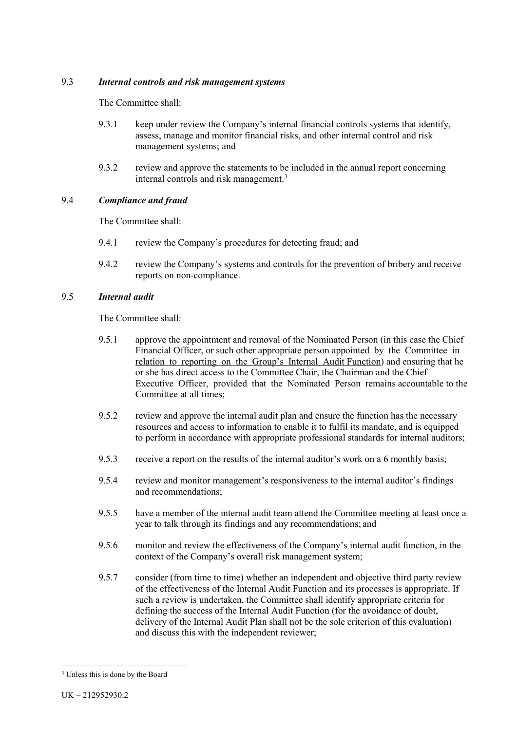#### 9.3 *Internal controls and risk management systems*

The Committee shall:

- 9.3.1 keep under review the Company's internal financial controls systems that identify, assess, manage and monitor financial risks, and other internal control and risk management systems; and
- 9.3.2 review and approve the statements to be included in the annual report concerning internal controls and risk management.<sup>[3](#page-3-0)</sup>

## 9.4 *Compliance and fraud*

The Committee shall:

- 9.4.1 review the Company's procedures for detecting fraud; and
- 9.4.2 review the Company's systems and controls for the prevention of bribery and receive reports on non-compliance.

## 9.5 *Internal audit*

The Committee shall:

- 9.5.1 approve the appointment and removal of the Nominated Person (in this case the Chief Financial Officer, or such other appropriate person appointed by the Committee in relation to reporting on the Group's Internal Audit Function) and ensuring that he or she has direct access to the Committee Chair, the Chairman and the Chief Executive Officer, provided that the Nominated Person remains accountable to the Committee at all times;
- 9.5.2 review and approve the internal audit plan and ensure the function has the necessary resources and access to information to enable it to fulfil its mandate, and is equipped to perform in accordance with appropriate professional standards for internal auditors;
- 9.5.3 receive a report on the results of the internal auditor's work on a 6 monthly basis;
- 9.5.4 review and monitor management's responsiveness to the internal auditor's findings and recommendations;
- 9.5.5 have a member of the internal audit team attend the Committee meeting at least once a year to talk through its findings and any recommendations; and
- 9.5.6 monitor and review the effectiveness of the Company's internal audit function, in the context of the Company's overall risk management system;
- 9.5.7 consider (from time to time) whether an independent and objective third party review of the effectiveness of the Internal Audit Function and its processes is appropriate. If such a review is undertaken, the Committee shall identify appropriate criteria for defining the success of the Internal Audit Function (for the avoidance of doubt, delivery of the Internal Audit Plan shall not be the sole criterion of this evaluation) and discuss this with the independent reviewer;

<span id="page-3-0"></span> <sup>3</sup> Unless this is done by the Board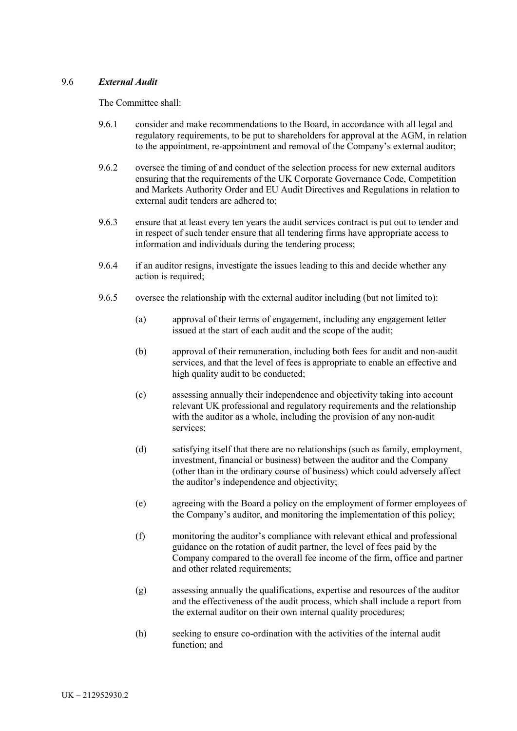## 9.6 *External Audit*

The Committee shall:

- 9.6.1 consider and make recommendations to the Board, in accordance with all legal and regulatory requirements, to be put to shareholders for approval at the AGM, in relation to the appointment, re-appointment and removal of the Company's external auditor;
- 9.6.2 oversee the timing of and conduct of the selection process for new external auditors ensuring that the requirements of the UK Corporate Governance Code, Competition and Markets Authority Order and EU Audit Directives and Regulations in relation to external audit tenders are adhered to;
- 9.6.3 ensure that at least every ten years the audit services contract is put out to tender and in respect of such tender ensure that all tendering firms have appropriate access to information and individuals during the tendering process;
- 9.6.4 if an auditor resigns, investigate the issues leading to this and decide whether any action is required;
- 9.6.5 oversee the relationship with the external auditor including (but not limited to):
	- (a) approval of their terms of engagement, including any engagement letter issued at the start of each audit and the scope of the audit;
	- (b) approval of their remuneration, including both fees for audit and non-audit services, and that the level of fees is appropriate to enable an effective and high quality audit to be conducted;
	- (c) assessing annually their independence and objectivity taking into account relevant UK professional and regulatory requirements and the relationship with the auditor as a whole, including the provision of any non-audit services;
	- (d) satisfying itself that there are no relationships (such as family, employment, investment, financial or business) between the auditor and the Company (other than in the ordinary course of business) which could adversely affect the auditor's independence and objectivity;
	- (e) agreeing with the Board a policy on the employment of former employees of the Company's auditor, and monitoring the implementation of this policy;
	- (f) monitoring the auditor's compliance with relevant ethical and professional guidance on the rotation of audit partner, the level of fees paid by the Company compared to the overall fee income of the firm, office and partner and other related requirements;
	- (g) assessing annually the qualifications, expertise and resources of the auditor and the effectiveness of the audit process, which shall include a report from the external auditor on their own internal quality procedures;
	- (h) seeking to ensure co-ordination with the activities of the internal audit function: and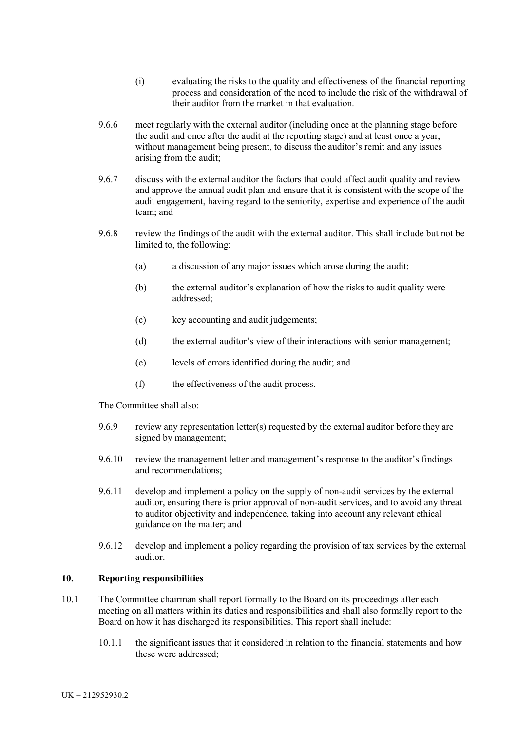- (i) evaluating the risks to the quality and effectiveness of the financial reporting process and consideration of the need to include the risk of the withdrawal of their auditor from the market in that evaluation.
- 9.6.6 meet regularly with the external auditor (including once at the planning stage before the audit and once after the audit at the reporting stage) and at least once a year, without management being present, to discuss the auditor's remit and any issues arising from the audit;
- 9.6.7 discuss with the external auditor the factors that could affect audit quality and review and approve the annual audit plan and ensure that it is consistent with the scope of the audit engagement, having regard to the seniority, expertise and experience of the audit team; and
- 9.6.8 review the findings of the audit with the external auditor. This shall include but not be limited to, the following:
	- (a) a discussion of any major issues which arose during the audit;
	- (b) the external auditor's explanation of how the risks to audit quality were addressed;
	- (c) key accounting and audit judgements;
	- (d) the external auditor's view of their interactions with senior management;
	- (e) levels of errors identified during the audit; and
	- (f) the effectiveness of the audit process.

The Committee shall also:

- 9.6.9 review any representation letter(s) requested by the external auditor before they are signed by management;
- 9.6.10 review the management letter and management's response to the auditor's findings and recommendations;
- 9.6.11 develop and implement a policy on the supply of non-audit services by the external auditor, ensuring there is prior approval of non-audit services, and to avoid any threat to auditor objectivity and independence, taking into account any relevant ethical guidance on the matter; and
- 9.6.12 develop and implement a policy regarding the provision of tax services by the external auditor.

#### **10. Reporting responsibilities**

- 10.1 The Committee chairman shall report formally to the Board on its proceedings after each meeting on all matters within its duties and responsibilities and shall also formally report to the Board on how it has discharged its responsibilities. This report shall include:
	- 10.1.1 the significant issues that it considered in relation to the financial statements and how these were addressed;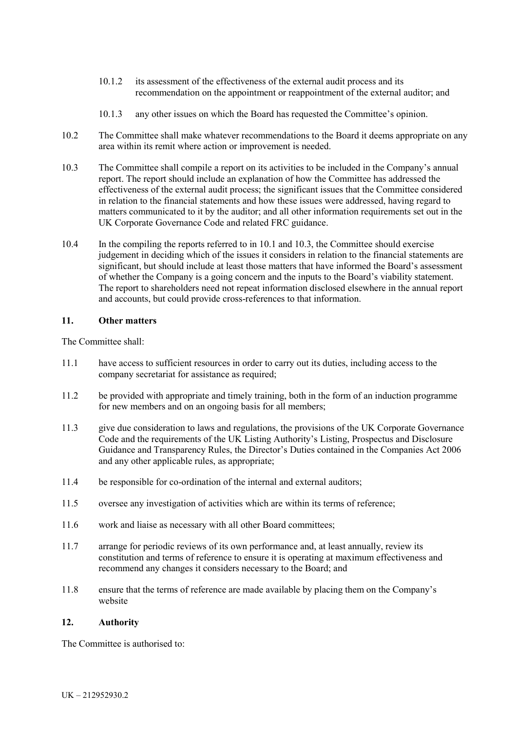- 10.1.2 its assessment of the effectiveness of the external audit process and its recommendation on the appointment or reappointment of the external auditor; and
- 10.1.3 any other issues on which the Board has requested the Committee's opinion.
- 10.2 The Committee shall make whatever recommendations to the Board it deems appropriate on any area within its remit where action or improvement is needed.
- 10.3 The Committee shall compile a report on its activities to be included in the Company's annual report. The report should include an explanation of how the Committee has addressed the effectiveness of the external audit process; the significant issues that the Committee considered in relation to the financial statements and how these issues were addressed, having regard to matters communicated to it by the auditor; and all other information requirements set out in the UK Corporate Governance Code and related FRC guidance.
- 10.4 In the compiling the reports referred to in 10.1 and 10.3, the Committee should exercise judgement in deciding which of the issues it considers in relation to the financial statements are significant, but should include at least those matters that have informed the Board's assessment of whether the Company is a going concern and the inputs to the Board's viability statement. The report to shareholders need not repeat information disclosed elsewhere in the annual report and accounts, but could provide cross-references to that information.

## **11. Other matters**

The Committee shall:

- 11.1 have access to sufficient resources in order to carry out its duties, including access to the company secretariat for assistance as required;
- 11.2 be provided with appropriate and timely training, both in the form of an induction programme for new members and on an ongoing basis for all members;
- 11.3 give due consideration to laws and regulations, the provisions of the UK Corporate Governance Code and the requirements of the UK Listing Authority's Listing, Prospectus and Disclosure Guidance and Transparency Rules, the Director's Duties contained in the Companies Act 2006 and any other applicable rules, as appropriate;
- 11.4 be responsible for co-ordination of the internal and external auditors;
- 11.5 oversee any investigation of activities which are within its terms of reference;
- 11.6 work and liaise as necessary with all other Board committees;
- 11.7 arrange for periodic reviews of its own performance and, at least annually, review its constitution and terms of reference to ensure it is operating at maximum effectiveness and recommend any changes it considers necessary to the Board; and
- 11.8 ensure that the terms of reference are made available by placing them on the Company's website

#### **12. Authority**

The Committee is authorised to: